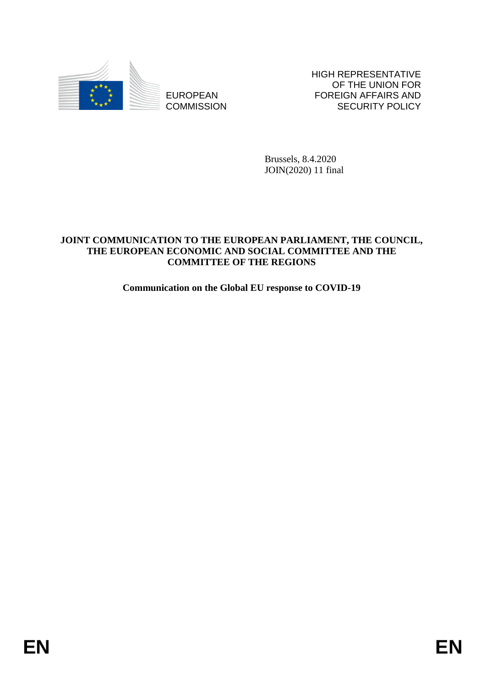

**COMMISSION** 

HIGH REPRESENTATIVE OF THE UNION FOR FOREIGN AFFAIRS AND SECURITY POLICY

Brussels, 8.4.2020 JOIN(2020) 11 final

# EUROPEAN<br>
EUROPEAN<br>
EUROPEAN<br>
EUROPEAN<br>
EUROPEAN<br>
EUROPEAN<br>
PRINCIPAL PRINCIPAL PRINCIPAL<br>
PRINCIPAL PRINCIPAL PRINCIPAL<br>
THE FUROPEAN **ECONOMIC NUMBER OF THE REGIONS**<br>
Communication on the Global EU response to COVID-19<br> **JOINT COMMUNICATION TO THE EUROPEAN PARLIAMENT, THE COUNCIL, THE EUROPEAN ECONOMIC AND SOCIAL COMMITTEE AND THE COMMITTEE OF THE REGIONS**

# **Communication on the Global EU response to COVID-19**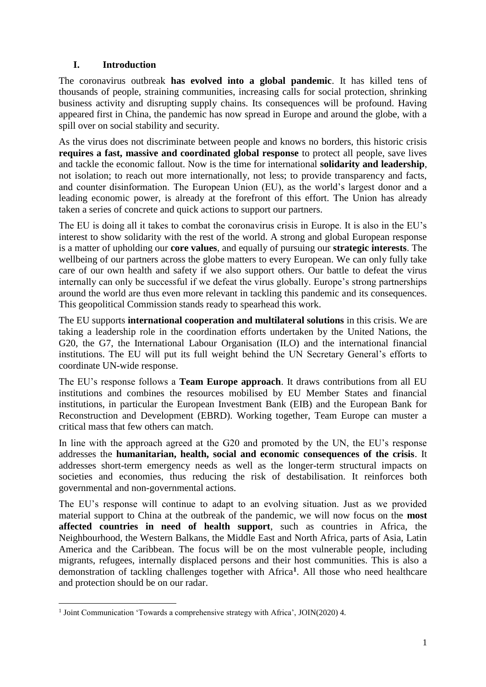# **I. Introduction**

The coronavirus outbreak **has evolved into a global pandemic**. It has killed tens of thousands of people, straining communities, increasing calls for social protection, shrinking business activity and disrupting supply chains. Its consequences will be profound. Having appeared first in China, the pandemic has now spread in Europe and around the globe, with a spill over on social stability and security.

As the virus does not discriminate between people and knows no borders, this historic crisis **requires a fast, massive and coordinated global response** to protect all people, save lives and tackle the economic fallout. Now is the time for international **solidarity and leadership**, not isolation; to reach out more internationally, not less; to provide transparency and facts, and counter disinformation. The European Union (EU), as the world's largest donor and a leading economic power, is already at the forefront of this effort. The Union has already taken a series of concrete and quick actions to support our partners.

The EU is doing all it takes to combat the coronavirus crisis in Europe. It is also in the EU's interest to show solidarity with the rest of the world. A strong and global European response is a matter of upholding our **core values**, and equally of pursuing our **strategic interests**. The wellbeing of our partners across the globe matters to every European. We can only fully take care of our own health and safety if we also support others. Our battle to defeat the virus internally can only be successful if we defeat the virus globally. Europe's strong partnerships around the world are thus even more relevant in tackling this pandemic and its consequences. This geopolitical Commission stands ready to spearhead this work.

The EU supports **international cooperation and multilateral solutions** in this crisis. We are taking a leadership role in the coordination efforts undertaken by the United Nations, the G20, the G7, the International Labour Organisation (ILO) and the international financial institutions. The EU will put its full weight behind the UN Secretary General's efforts to coordinate UN-wide response.

The EU's response follows a **Team Europe approach**. It draws contributions from all EU institutions and combines the resources mobilised by EU Member States and financial institutions, in particular the European Investment Bank (EIB) and the European Bank for Reconstruction and Development (EBRD). Working together, Team Europe can muster a critical mass that few others can match.

In line with the approach agreed at the G20 and promoted by the UN, the EU's response addresses the **humanitarian, health, social and economic consequences of the crisis**. It addresses short-term emergency needs as well as the longer-term structural impacts on societies and economies, thus reducing the risk of destabilisation. It reinforces both governmental and non-governmental actions.

The EU's response will continue to adapt to an evolving situation. Just as we provided material support to China at the outbreak of the pandemic, we will now focus on the **most affected countries in need of health support**, such as countries in Africa, the Neighbourhood, the Western Balkans, the Middle East and North Africa, parts of Asia, Latin America and the Caribbean. The focus will be on the most vulnerable people, including migrants, refugees, internally displaced persons and their host communities. This is also a demonstration of tackling challenges together with Africa**<sup>1</sup>** . All those who need healthcare and protection should be on our radar.

**<sup>.</sup>** <sup>1</sup> Joint Communication 'Towards a comprehensive strategy with Africa', JOIN(2020) 4.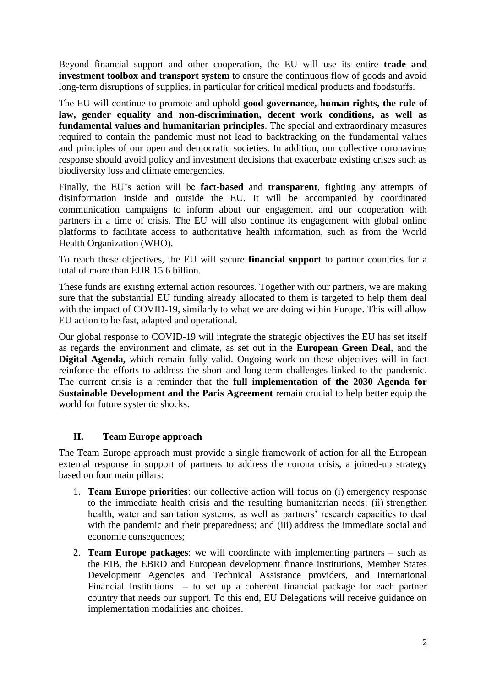Beyond financial support and other cooperation, the EU will use its entire **trade and investment toolbox and transport system** to ensure the continuous flow of goods and avoid long-term disruptions of supplies, in particular for critical medical products and foodstuffs.

The EU will continue to promote and uphold **good governance, human rights, the rule of law, gender equality and non-discrimination, decent work conditions, as well as fundamental values and humanitarian principles**. The special and extraordinary measures required to contain the pandemic must not lead to backtracking on the fundamental values and principles of our open and democratic societies. In addition, our collective coronavirus response should avoid policy and investment decisions that exacerbate existing crises such as biodiversity loss and climate emergencies.

Finally, the EU's action will be **fact-based** and **transparent**, fighting any attempts of disinformation inside and outside the EU. It will be accompanied by coordinated communication campaigns to inform about our engagement and our cooperation with partners in a time of crisis. The EU will also continue its engagement with global online platforms to facilitate access to authoritative health information, such as from the World Health Organization (WHO).

To reach these objectives, the EU will secure **financial support** to partner countries for a total of more than EUR 15.6 billion.

These funds are existing external action resources. Together with our partners, we are making sure that the substantial EU funding already allocated to them is targeted to help them deal with the impact of COVID-19, similarly to what we are doing within Europe. This will allow EU action to be fast, adapted and operational.

Our global response to COVID-19 will integrate the strategic objectives the EU has set itself as regards the environment and climate, as set out in the **European Green Deal**, and the **Digital Agenda,** which remain fully valid. Ongoing work on these objectives will in fact reinforce the efforts to address the short and long-term challenges linked to the pandemic. The current crisis is a reminder that the **full implementation of the 2030 Agenda for Sustainable Development and the Paris Agreement** remain crucial to help better equip the world for future systemic shocks.

# **II. Team Europe approach**

The Team Europe approach must provide a single framework of action for all the European external response in support of partners to address the corona crisis, a joined-up strategy based on four main pillars:

- 1. **Team Europe priorities**: our collective action will focus on (i) emergency response to the immediate health crisis and the resulting humanitarian needs; (ii) strengthen health, water and sanitation systems, as well as partners' research capacities to deal with the pandemic and their preparedness; and (iii) address the immediate social and economic consequences;
- 2. **Team Europe packages**: we will coordinate with implementing partners such as the EIB, the EBRD and European development finance institutions, Member States Development Agencies and Technical Assistance providers, and International Financial Institutions – to set up a coherent financial package for each partner country that needs our support. To this end, EU Delegations will receive guidance on implementation modalities and choices.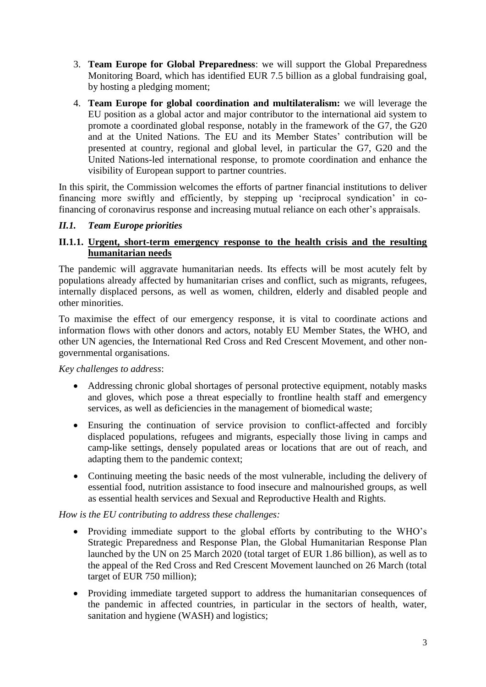- 3. **Team Europe for Global Preparedness**: we will support the Global Preparedness Monitoring Board, which has identified EUR 7.5 billion as a global fundraising goal, by hosting a pledging moment;
- 4. **Team Europe for global coordination and multilateralism:** we will leverage the EU position as a global actor and major contributor to the international aid system to promote a coordinated global response, notably in the framework of the G7, the G20 and at the United Nations. The EU and its Member States' contribution will be presented at country, regional and global level, in particular the G7, G20 and the United Nations-led international response, to promote coordination and enhance the visibility of European support to partner countries.

In this spirit, the Commission welcomes the efforts of partner financial institutions to deliver financing more swiftly and efficiently, by stepping up 'reciprocal syndication' in cofinancing of coronavirus response and increasing mutual reliance on each other's appraisals.

# *II.1. Team Europe priorities*

### **II.1.1. Urgent, short-term emergency response to the health crisis and the resulting humanitarian needs**

The pandemic will aggravate humanitarian needs. Its effects will be most acutely felt by populations already affected by humanitarian crises and conflict, such as migrants, refugees, internally displaced persons, as well as women, children, elderly and disabled people and other minorities.

To maximise the effect of our emergency response, it is vital to coordinate actions and information flows with other donors and actors, notably EU Member States, the WHO, and other UN agencies, the International Red Cross and Red Crescent Movement, and other nongovernmental organisations.

# *Key challenges to address*:

- Addressing chronic global shortages of personal protective equipment, notably masks and gloves, which pose a threat especially to frontline health staff and emergency services, as well as deficiencies in the management of biomedical waste;
- Ensuring the continuation of service provision to conflict-affected and forcibly displaced populations, refugees and migrants, especially those living in camps and camp-like settings, densely populated areas or locations that are out of reach, and adapting them to the pandemic context;
- Continuing meeting the basic needs of the most vulnerable, including the delivery of essential food, nutrition assistance to food insecure and malnourished groups, as well as essential health services and Sexual and Reproductive Health and Rights.

# *How is the EU contributing to address these challenges:*

- Providing immediate support to the global efforts by contributing to the WHO's Strategic Preparedness and Response Plan, the Global Humanitarian Response Plan launched by the UN on 25 March 2020 (total target of EUR 1.86 billion), as well as to the appeal of the Red Cross and Red Crescent Movement launched on 26 March (total target of EUR 750 million);
- Providing immediate targeted support to address the humanitarian consequences of the pandemic in affected countries, in particular in the sectors of health, water, sanitation and hygiene (WASH) and logistics;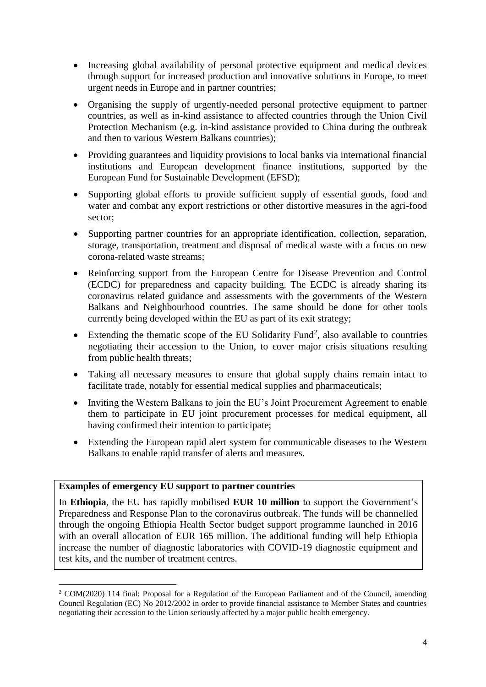- Increasing global availability of personal protective equipment and medical devices through support for increased production and innovative solutions in Europe, to meet urgent needs in Europe and in partner countries;
- Organising the supply of urgently-needed personal protective equipment to partner countries, as well as in-kind assistance to affected countries through the Union Civil Protection Mechanism (e.g. in-kind assistance provided to China during the outbreak and then to various Western Balkans countries);
- Providing guarantees and liquidity provisions to local banks via international financial institutions and European development finance institutions, supported by the European Fund for Sustainable Development (EFSD);
- Supporting global efforts to provide sufficient supply of essential goods, food and water and combat any export restrictions or other distortive measures in the agri-food sector;
- Supporting partner countries for an appropriate identification, collection, separation, storage, transportation, treatment and disposal of medical waste with a focus on new corona-related waste streams;
- Reinforcing support from the European Centre for Disease Prevention and Control (ECDC) for preparedness and capacity building. The ECDC is already sharing its coronavirus related guidance and assessments with the governments of the Western Balkans and Neighbourhood countries. The same should be done for other tools currently being developed within the EU as part of its exit strategy;
- Extending the thematic scope of the EU Solidarity Fund<sup>2</sup>, also available to countries negotiating their accession to the Union, to cover major crisis situations resulting from public health threats;
- Taking all necessary measures to ensure that global supply chains remain intact to facilitate trade, notably for essential medical supplies and pharmaceuticals;
- Inviting the Western Balkans to join the EU's Joint Procurement Agreement to enable them to participate in EU joint procurement processes for medical equipment, all having confirmed their intention to participate;
- Extending the European rapid alert system for communicable diseases to the Western Balkans to enable rapid transfer of alerts and measures.

### **Examples of emergency EU support to partner countries**

**.** 

In **Ethiopia**, the EU has rapidly mobilised **EUR 10 million** to support the Government's Preparedness and Response Plan to the coronavirus outbreak. The funds will be channelled through the ongoing Ethiopia Health Sector budget support programme launched in 2016 with an overall allocation of EUR 165 million. The additional funding will help Ethiopia increase the number of diagnostic laboratories with COVID-19 diagnostic equipment and test kits, and the number of treatment centres.

<sup>2</sup> COM(2020) 114 final: Proposal for a Regulation of the European Parliament and of the Council, amending Council Regulation (EC) No 2012/2002 in order to provide financial assistance to Member States and countries negotiating their accession to the Union seriously affected by a major public health emergency.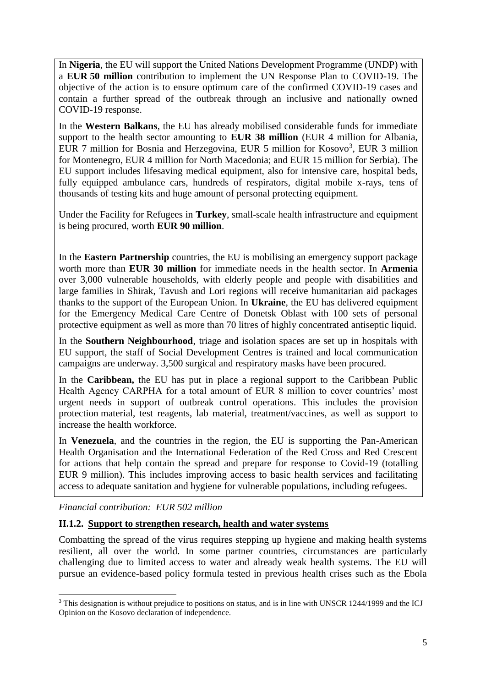In **Nigeria**, the EU will support the United Nations Development Programme (UNDP) with a **EUR 50 million** contribution to implement the UN Response Plan to COVID-19. The objective of the action is to ensure optimum care of the confirmed COVID-19 cases and contain a further spread of the outbreak through an inclusive and nationally owned COVID-19 response.

In the **Western Balkans**, the EU has already mobilised considerable funds for immediate support to the health sector amounting to **EUR 38 million** (EUR 4 million for Albania, EUR 7 million for Bosnia and Herzegovina, EUR 5 million for Kosovo<sup>3</sup>, EUR 3 million for Montenegro, EUR 4 million for North Macedonia; and EUR 15 million for Serbia). The EU support includes lifesaving medical equipment, also for intensive care, hospital beds, fully equipped ambulance cars, hundreds of respirators, digital mobile x-rays, tens of thousands of testing kits and huge amount of personal protecting equipment.

Under the Facility for Refugees in **Turkey**, small-scale health infrastructure and equipment is being procured, worth **EUR 90 million**.

In the **Eastern Partnership** countries, the EU is mobilising an emergency support package worth more than **EUR 30 million** for immediate needs in the health sector. In **Armenia** over 3,000 vulnerable households, with elderly people and people with disabilities and large families in Shirak, Tavush and Lori regions will receive humanitarian aid packages thanks to the support of the European Union. In **Ukraine**, the EU has delivered equipment for the Emergency Medical Care Centre of Donetsk Oblast with 100 sets of personal protective equipment as well as more than 70 litres of highly concentrated antiseptic liquid.

In the **Southern Neighbourhood**, triage and isolation spaces are set up in hospitals with EU support, the staff of Social Development Centres is trained and local communication campaigns are underway. 3,500 surgical and respiratory masks have been procured.

In the **Caribbean,** the EU has put in place a regional support to the Caribbean Public Health Agency CARPHA for a total amount of EUR 8 million to cover countries' most urgent needs in support of outbreak control operations. This includes the provision protection material, test reagents, lab material, treatment/vaccines, as well as support to increase the health workforce.

 In **Venezuela**, and the countries in the region, the EU is supporting the Pan-American Health Organisation and the International Federation of the Red Cross and Red Crescent for actions that help contain the spread and prepare for response to Covid-19 (totalling EUR 9 million). This includes improving access to basic health services and facilitating access to adequate sanitation and hygiene for vulnerable populations, including refugees.

*Financial contribution: EUR 502 million*

1

# **II.1.2. Support to strengthen research, health and water systems**

Combatting the spread of the virus requires stepping up hygiene and making health systems resilient, all over the world. In some partner countries, circumstances are particularly challenging due to limited access to water and already weak health systems. The EU will pursue an evidence-based policy formula tested in previous health crises such as the Ebola

<sup>&</sup>lt;sup>3</sup> This designation is without prejudice to positions on status, and is in line with UNSCR 1244/1999 and the ICJ Opinion on the Kosovo declaration of independence.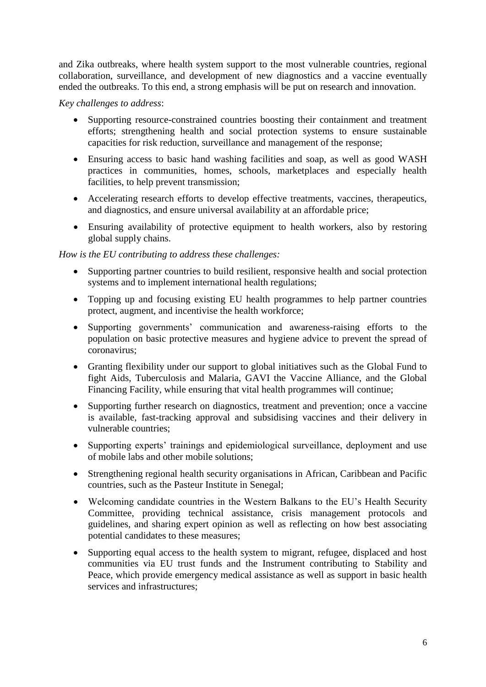and Zika outbreaks, where health system support to the most vulnerable countries, regional collaboration, surveillance, and development of new diagnostics and a vaccine eventually ended the outbreaks. To this end, a strong emphasis will be put on research and innovation.

### *Key challenges to address*:

- Supporting resource-constrained countries boosting their containment and treatment efforts; strengthening health and social protection systems to ensure sustainable capacities for risk reduction, surveillance and management of the response;
- Ensuring access to basic hand washing facilities and soap, as well as good WASH practices in communities, homes, schools, marketplaces and especially health facilities, to help prevent transmission;
- Accelerating research efforts to develop effective treatments, vaccines, therapeutics, and diagnostics, and ensure universal availability at an affordable price;
- Ensuring availability of protective equipment to health workers, also by restoring global supply chains.

# *How is the EU contributing to address these challenges:*

- Supporting partner countries to build resilient, responsive health and social protection systems and to implement international health regulations;
- Topping up and focusing existing EU health programmes to help partner countries protect, augment, and incentivise the health workforce;
- Supporting governments' communication and awareness-raising efforts to the population on basic protective measures and hygiene advice to prevent the spread of coronavirus;
- Granting flexibility under our support to global initiatives such as the Global Fund to fight Aids, Tuberculosis and Malaria, GAVI the Vaccine Alliance, and the Global Financing Facility, while ensuring that vital health programmes will continue;
- Supporting further research on diagnostics, treatment and prevention; once a vaccine is available, fast-tracking approval and subsidising vaccines and their delivery in vulnerable countries;
- Supporting experts' trainings and epidemiological surveillance, deployment and use of mobile labs and other mobile solutions;
- Strengthening regional health security organisations in African, Caribbean and Pacific countries, such as the Pasteur Institute in Senegal;
- Welcoming candidate countries in the Western Balkans to the EU's Health Security Committee, providing technical assistance, crisis management protocols and guidelines, and sharing expert opinion as well as reflecting on how best associating potential candidates to these measures;
- Supporting equal access to the health system to migrant, refugee, displaced and host communities via EU trust funds and the Instrument contributing to Stability and Peace, which provide emergency medical assistance as well as support in basic health services and infrastructures;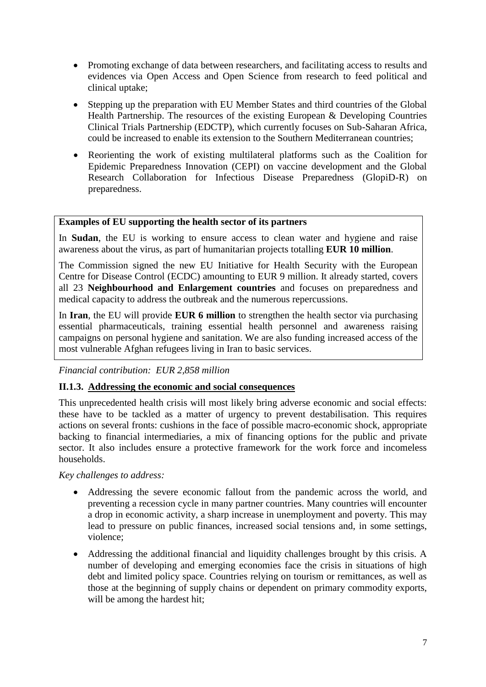- Promoting exchange of data between researchers, and facilitating access to results and evidences via Open Access and Open Science from research to feed political and clinical uptake;
- Stepping up the preparation with EU Member States and third countries of the Global Health Partnership. The resources of the existing European & Developing Countries Clinical Trials Partnership (EDCTP), which currently focuses on Sub-Saharan Africa, could be increased to enable its extension to the Southern Mediterranean countries;
- Reorienting the work of existing multilateral platforms such as the Coalition for Epidemic Preparedness Innovation (CEPI) on vaccine development and the Global Research Collaboration for Infectious Disease Preparedness (GlopiD-R) on preparedness.

# **Examples of EU supporting the health sector of its partners**

In **Sudan**, the EU is working to ensure access to clean water and hygiene and raise awareness about the virus, as part of humanitarian projects totalling **EUR 10 million**.

The Commission signed the new EU Initiative for Health Security with the European Centre for Disease Control (ECDC) amounting to EUR 9 million. It already started, covers all 23 **Neighbourhood and Enlargement countries** and focuses on preparedness and medical capacity to address the outbreak and the numerous repercussions.

In **Iran**, the EU will provide **EUR 6 million** to strengthen the health sector via purchasing essential pharmaceuticals, training essential health personnel and awareness raising campaigns on personal hygiene and sanitation. We are also funding increased access of the most vulnerable Afghan refugees living in Iran to basic services.

### *Financial contribution: EUR 2,858 million*

### **II.1.3. Addressing the economic and social consequences**

This unprecedented health crisis will most likely bring adverse economic and social effects: these have to be tackled as a matter of urgency to prevent destabilisation. This requires actions on several fronts: cushions in the face of possible macro-economic shock, appropriate backing to financial intermediaries, a mix of financing options for the public and private sector. It also includes ensure a protective framework for the work force and incomeless households.

### *Key challenges to address:*

- Addressing the severe economic fallout from the pandemic across the world, and preventing a recession cycle in many partner countries. Many countries will encounter a drop in economic activity, a sharp increase in unemployment and poverty. This may lead to pressure on public finances, increased social tensions and, in some settings, violence;
- Addressing the additional financial and liquidity challenges brought by this crisis. A number of developing and emerging economies face the crisis in situations of high debt and limited policy space. Countries relying on tourism or remittances, as well as those at the beginning of supply chains or dependent on primary commodity exports, will be among the hardest hit;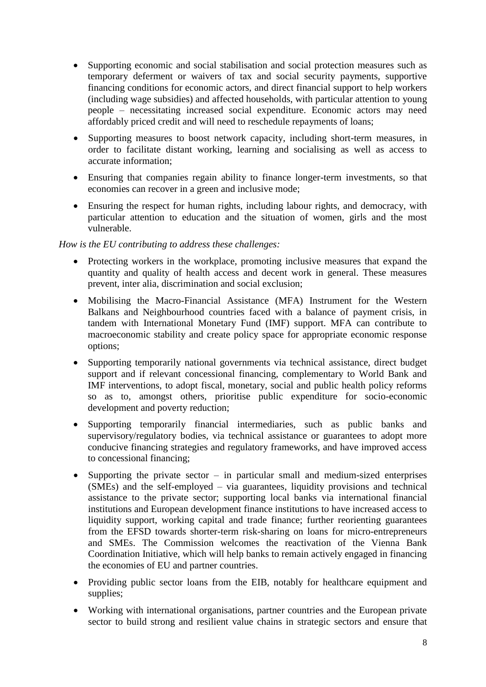- Supporting economic and social stabilisation and social protection measures such as temporary deferment or waivers of tax and social security payments, supportive financing conditions for economic actors, and direct financial support to help workers (including wage subsidies) and affected households, with particular attention to young people – necessitating increased social expenditure. Economic actors may need affordably priced credit and will need to reschedule repayments of loans;
- Supporting measures to boost network capacity, including short-term measures, in order to facilitate distant working, learning and socialising as well as access to accurate information;
- Ensuring that companies regain ability to finance longer-term investments, so that economies can recover in a green and inclusive mode;
- Ensuring the respect for human rights, including labour rights, and democracy, with particular attention to education and the situation of women, girls and the most vulnerable.

# *How is the EU contributing to address these challenges:*

- Protecting workers in the workplace, promoting inclusive measures that expand the quantity and quality of health access and decent work in general. These measures prevent, inter alia, discrimination and social exclusion;
- Mobilising the Macro-Financial Assistance (MFA) Instrument for the Western Balkans and Neighbourhood countries faced with a balance of payment crisis, in tandem with International Monetary Fund (IMF) support. MFA can contribute to macroeconomic stability and create policy space for appropriate economic response options;
- Supporting temporarily national governments via technical assistance, direct budget support and if relevant concessional financing, complementary to World Bank and IMF interventions, to adopt fiscal, monetary, social and public health policy reforms so as to, amongst others, prioritise public expenditure for socio-economic development and poverty reduction;
- Supporting temporarily financial intermediaries, such as public banks and supervisory/regulatory bodies, via technical assistance or guarantees to adopt more conducive financing strategies and regulatory frameworks, and have improved access to concessional financing;
- Supporting the private sector  $-$  in particular small and medium-sized enterprises (SMEs) and the self-employed – via guarantees, liquidity provisions and technical assistance to the private sector; supporting local banks via international financial institutions and European development finance institutions to have increased access to liquidity support, working capital and trade finance; further reorienting guarantees from the EFSD towards shorter-term risk-sharing on loans for micro-entrepreneurs and SMEs. The Commission welcomes the reactivation of the Vienna Bank Coordination Initiative, which will help banks to remain actively engaged in financing the economies of EU and partner countries.
- Providing public sector loans from the EIB, notably for healthcare equipment and supplies;
- Working with international organisations, partner countries and the European private sector to build strong and resilient value chains in strategic sectors and ensure that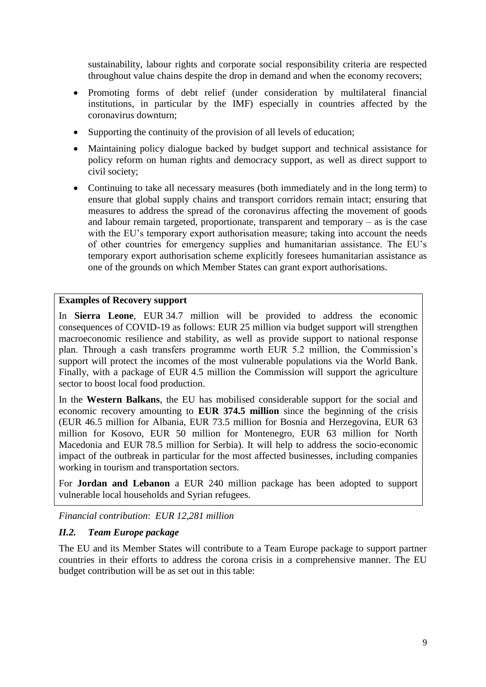sustainability, labour rights and corporate social responsibility criteria are respected throughout value chains despite the drop in demand and when the economy recovers;

- Promoting forms of debt relief (under consideration by multilateral financial institutions, in particular by the IMF) especially in countries affected by the coronavirus downturn;
- Supporting the continuity of the provision of all levels of education;
- Maintaining policy dialogue backed by budget support and technical assistance for policy reform on human rights and democracy support, as well as direct support to civil society;
- Continuing to take all necessary measures (both immediately and in the long term) to ensure that global supply chains and transport corridors remain intact; ensuring that measures to address the spread of the coronavirus affecting the movement of goods and labour remain targeted, proportionate, transparent and temporary – as is the case with the EU's temporary export authorisation measure; taking into account the needs of other countries for emergency supplies and humanitarian assistance. The EU's temporary export authorisation scheme explicitly foresees humanitarian assistance as one of the grounds on which Member States can grant export authorisations.

### **Examples of Recovery support**

In **Sierra Leone**, EUR 34.7 million will be provided to address the economic consequences of COVID-19 as follows: EUR 25 million via budget support will strengthen macroeconomic resilience and stability, as well as provide support to national response plan. Through a cash transfers programme worth EUR 5.2 million, the Commission's support will protect the incomes of the most vulnerable populations via the World Bank. Finally, with a package of EUR 4.5 million the Commission will support the agriculture sector to boost local food production.

In the **Western Balkans**, the EU has mobilised considerable support for the social and economic recovery amounting to **EUR 374.5 million** since the beginning of the crisis (EUR 46.5 million for Albania, EUR 73.5 million for Bosnia and Herzegovina, EUR 63 million for Kosovo, EUR 50 million for Montenegro, EUR 63 million for North Macedonia and EUR 78.5 million for Serbia). It will help to address the socio-economic impact of the outbreak in particular for the most affected businesses, including companies working in tourism and transportation sectors.

For **Jordan and Lebanon** a EUR 240 million package has been adopted to support vulnerable local households and Syrian refugees.

*Financial contribution*: *EUR 12,281 million*

# *II.2. Team Europe package*

The EU and its Member States will contribute to a Team Europe package to support partner countries in their efforts to address the corona crisis in a comprehensive manner. The EU budget contribution will be as set out in this table: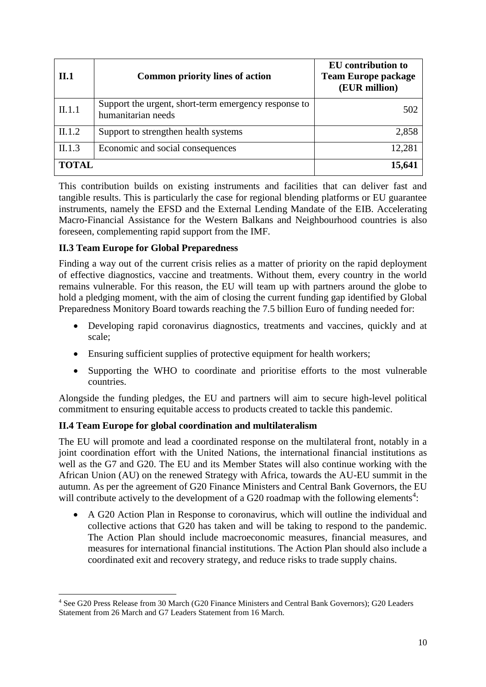| II.1         | <b>Common priority lines of action</b>                                     | <b>EU</b> contribution to<br><b>Team Europe package</b><br>(EUR million) |
|--------------|----------------------------------------------------------------------------|--------------------------------------------------------------------------|
| II.1.1       | Support the urgent, short-term emergency response to<br>humanitarian needs | 502                                                                      |
| II.1.2       | Support to strengthen health systems                                       | 2,858                                                                    |
| II.1.3       | Economic and social consequences                                           | 12,281                                                                   |
| <b>TOTAL</b> |                                                                            | 15,641                                                                   |

This contribution builds on existing instruments and facilities that can deliver fast and tangible results. This is particularly the case for regional blending platforms or EU guarantee instruments, namely the EFSD and the External Lending Mandate of the EIB. Accelerating Macro-Financial Assistance for the Western Balkans and Neighbourhood countries is also foreseen, complementing rapid support from the IMF.

# **II.3 Team Europe for Global Preparedness**

1

Finding a way out of the current crisis relies as a matter of priority on the rapid deployment of effective diagnostics, vaccine and treatments. Without them, every country in the world remains vulnerable. For this reason, the EU will team up with partners around the globe to hold a pledging moment, with the aim of closing the current funding gap identified by Global Preparedness Monitory Board towards reaching the 7.5 billion Euro of funding needed for:

- Developing rapid coronavirus diagnostics, treatments and vaccines, quickly and at scale;
- Ensuring sufficient supplies of protective equipment for health workers:
- Supporting the WHO to coordinate and prioritise efforts to the most vulnerable countries.

Alongside the funding pledges, the EU and partners will aim to secure high-level political commitment to ensuring equitable access to products created to tackle this pandemic.

# **II.4 Team Europe for global coordination and multilateralism**

The EU will promote and lead a coordinated response on the multilateral front, notably in a joint coordination effort with the United Nations, the international financial institutions as well as the G7 and G20. The EU and its Member States will also continue working with the African Union (AU) on the renewed Strategy with Africa, towards the AU-EU summit in the autumn. As per the agreement of G20 Finance Ministers and Central Bank Governors, the EU will contribute actively to the development of a G20 roadmap with the following elements<sup>4</sup>:

 A G20 Action Plan in Response to coronavirus, which will outline the individual and collective actions that G20 has taken and will be taking to respond to the pandemic. The Action Plan should include macroeconomic measures, financial measures, and measures for international financial institutions. The Action Plan should also include a coordinated exit and recovery strategy, and reduce risks to trade supply chains.

<sup>4</sup> See G20 Press Release from 30 March (G20 Finance Ministers and Central Bank Governors); G20 Leaders Statement from 26 March and G7 Leaders Statement from 16 March.